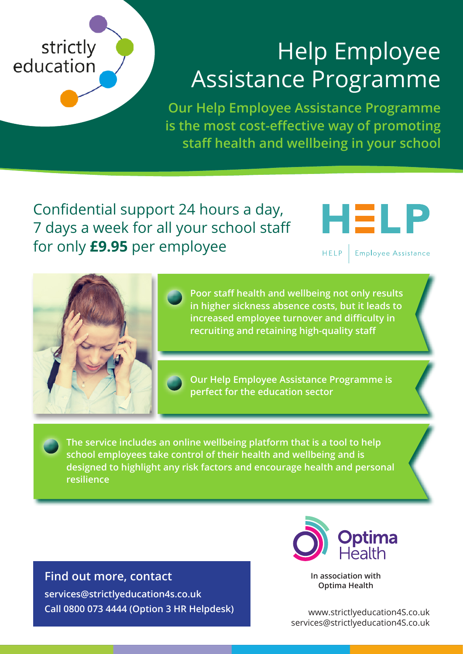## strictly education

## Help Employee Assistance Programme

**Our Help Employee Assistance Programme is the most cost-effective way of promoting staff health and wellbeing in your school**

Confidential support 24 hours a day, 7 days a week for all your school staff for only **£9.95** per employee

HEL

**HELP** Employee Assistance



**Poor staff health and wellbeing not only results in higher sickness absence costs, but it leads to increased employee turnover and difficulty in recruiting and retaining high-quality staff**

**Our Help Employee Assistance Programme is perfect for the education sector** 

**The service includes an online wellbeing platform that is a tool to help school employees take control of their health and wellbeing and is designed to highlight any risk factors and encourage health and personal resilience**

**Find out more, contact services@strictlyeducation4s.co.uk Call 0800 073 4444 (Option 3 HR Helpdesk)**



**In association with Optima Health**

www.strictlyeducation4S.co.uk services@strictlyeducation4S.co.uk